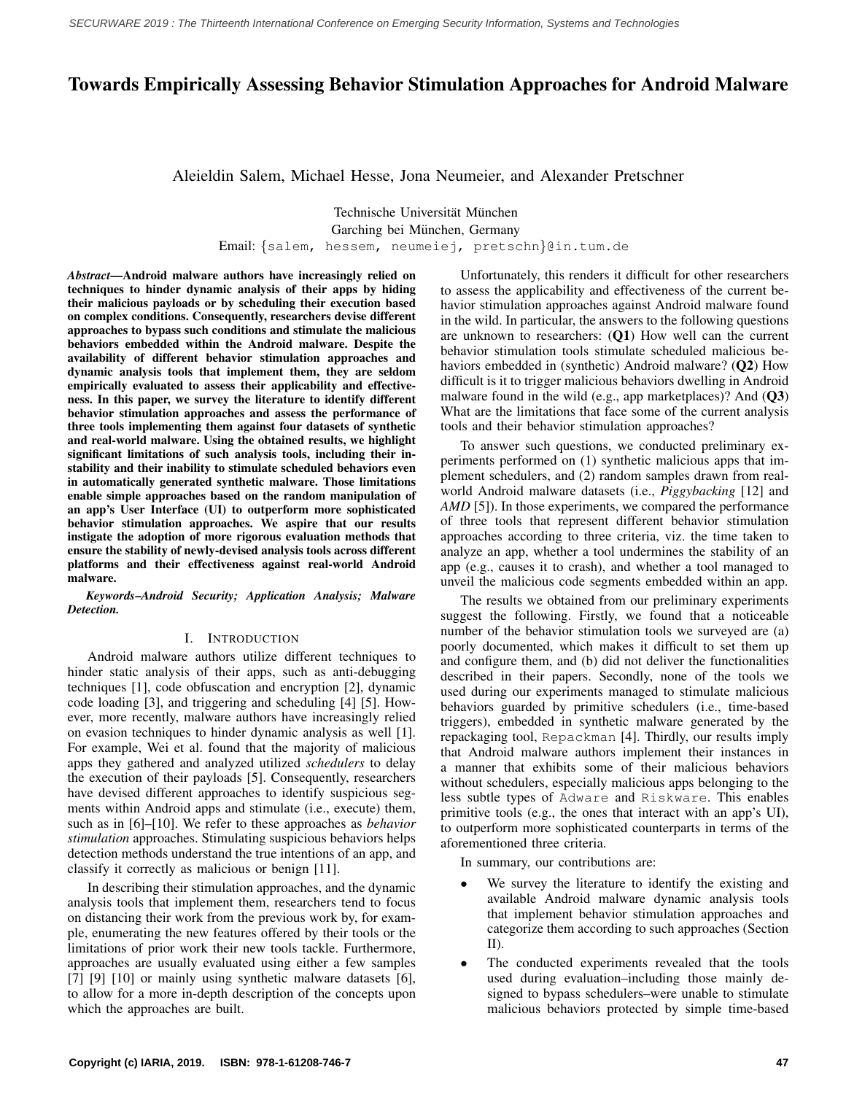# Towards Empirically Assessing Behavior Stimulation Approaches for Android Malware

Aleieldin Salem, Michael Hesse, Jona Neumeier, and Alexander Pretschner

Technische Universität München Garching bei München, Germany

Email: {salem, hessem, neumeiej, pretschn}@in.tum.de

*Abstract*—Android malware authors have increasingly relied on techniques to hinder dynamic analysis of their apps by hiding their malicious payloads or by scheduling their execution based on complex conditions. Consequently, researchers devise different approaches to bypass such conditions and stimulate the malicious behaviors embedded within the Android malware. Despite the availability of different behavior stimulation approaches and dynamic analysis tools that implement them, they are seldom empirically evaluated to assess their applicability and effectiveness. In this paper, we survey the literature to identify different behavior stimulation approaches and assess the performance of three tools implementing them against four datasets of synthetic and real-world malware. Using the obtained results, we highlight significant limitations of such analysis tools, including their instability and their inability to stimulate scheduled behaviors even in automatically generated synthetic malware. Those limitations enable simple approaches based on the random manipulation of an app's User Interface (UI) to outperform more sophisticated behavior stimulation approaches. We aspire that our results instigate the adoption of more rigorous evaluation methods that ensure the stability of newly-devised analysis tools across different platforms and their effectiveness against real-world Android malware.

*Keywords*–*Android Security; Application Analysis; Malware Detection.*

### I. INTRODUCTION

<span id="page-0-0"></span>Android malware authors utilize different techniques to hinder static analysis of their apps, such as anti-debugging techniques [\[1\]](#page-5-0), code obfuscation and encryption [\[2\]](#page-5-1), dynamic code loading [\[3\]](#page-5-2), and triggering and scheduling [\[4\]](#page-5-3) [\[5\]](#page-5-4). However, more recently, malware authors have increasingly relied on evasion techniques to hinder dynamic analysis as well [\[1\]](#page-5-0). For example, Wei et al. found that the majority of malicious apps they gathered and analyzed utilized *schedulers* to delay the execution of their payloads [\[5\]](#page-5-4). Consequently, researchers have devised different approaches to identify suspicious segments within Android apps and stimulate (i.e., execute) them, such as in [\[6\]](#page-5-5)–[\[10\]](#page-5-6). We refer to these approaches as *behavior stimulation* approaches. Stimulating suspicious behaviors helps detection methods understand the true intentions of an app, and classify it correctly as malicious or benign [\[11\]](#page-5-7).

In describing their stimulation approaches, and the dynamic analysis tools that implement them, researchers tend to focus on distancing their work from the previous work by, for example, enumerating the new features offered by their tools or the limitations of prior work their new tools tackle. Furthermore, approaches are usually evaluated using either a few samples [\[7\]](#page-5-8) [\[9\]](#page-5-9) [\[10\]](#page-5-6) or mainly using synthetic malware datasets [\[6\]](#page-5-5), to allow for a more in-depth description of the concepts upon which the approaches are built.

Unfortunately, this renders it difficult for other researchers to assess the applicability and effectiveness of the current behavior stimulation approaches against Android malware found in the wild. In particular, the answers to the following questions are unknown to researchers: (Q1) How well can the current behavior stimulation tools stimulate scheduled malicious behaviors embedded in (synthetic) Android malware? (Q2) How difficult is it to trigger malicious behaviors dwelling in Android malware found in the wild (e.g., app marketplaces)? And (Q3) What are the limitations that face some of the current analysis tools and their behavior stimulation approaches?

To answer such questions, we conducted preliminary experiments performed on (1) synthetic malicious apps that implement schedulers, and (2) random samples drawn from realworld Android malware datasets (i.e., *Piggybacking* [\[12\]](#page-5-10) and *AMD* [\[5\]](#page-5-4)). In those experiments, we compared the performance of three tools that represent different behavior stimulation approaches according to three criteria, viz. the time taken to analyze an app, whether a tool undermines the stability of an app (e.g., causes it to crash), and whether a tool managed to unveil the malicious code segments embedded within an app.

The results we obtained from our preliminary experiments suggest the following. Firstly, we found that a noticeable number of the behavior stimulation tools we surveyed are (a) poorly documented, which makes it difficult to set them up and configure them, and (b) did not deliver the functionalities described in their papers. Secondly, none of the tools we used during our experiments managed to stimulate malicious behaviors guarded by primitive schedulers (i.e., time-based triggers), embedded in synthetic malware generated by the repackaging tool, Repackman [\[4\]](#page-5-3). Thirdly, our results imply that Android malware authors implement their instances in a manner that exhibits some of their malicious behaviors without schedulers, especially malicious apps belonging to the less subtle types of Adware and Riskware. This enables primitive tools (e.g., the ones that interact with an app's UI), to outperform more sophisticated counterparts in terms of the aforementioned three criteria.

In summary, our contributions are:

- We survey the literature to identify the existing and available Android malware dynamic analysis tools that implement behavior stimulation approaches and categorize them according to such approaches (Section [II\)](#page-1-0).
- The conducted experiments revealed that the tools used during evaluation–including those mainly designed to bypass schedulers–were unable to stimulate malicious behaviors protected by simple time-based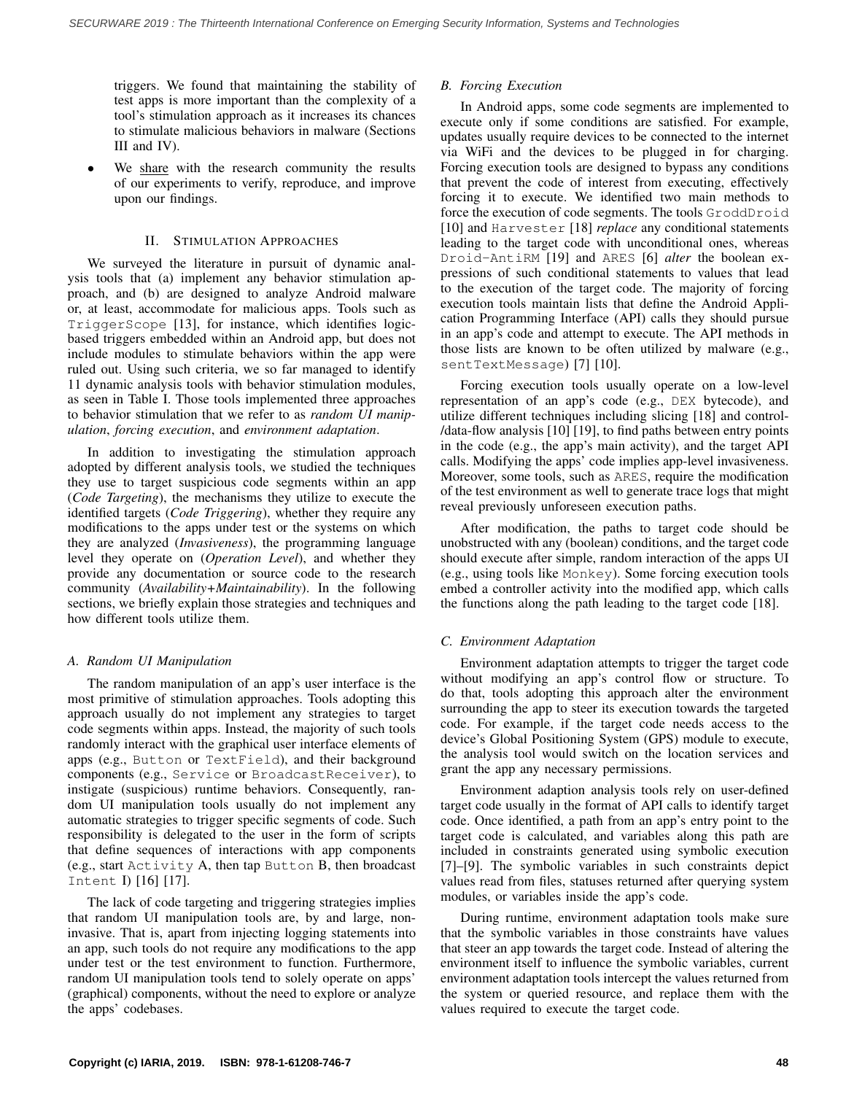triggers. We found that maintaining the stability of test apps is more important than the complexity of a tool's stimulation approach as it increases its chances to stimulate malicious behaviors in malware (Sections [III](#page-2-0) and [IV\)](#page-3-0).

We [share](http://goo.gl/az8CHn) with the research community the results of our experiments to verify, reproduce, and improve upon our findings.

### II. STIMULATION APPROACHES

<span id="page-1-0"></span>We surveyed the literature in pursuit of dynamic analysis tools that (a) implement any behavior stimulation approach, and (b) are designed to analyze Android malware or, at least, accommodate for malicious apps. Tools such as TriggerScope [\[13\]](#page-5-11), for instance, which identifies logicbased triggers embedded within an Android app, but does not include modules to stimulate behaviors within the app were ruled out. Using such criteria, we so far managed to identify 11 dynamic analysis tools with behavior stimulation modules, as seen in Table [I.](#page-2-1) Those tools implemented three approaches to behavior stimulation that we refer to as *random UI manipulation*, *forcing execution*, and *environment adaptation*.

In addition to investigating the stimulation approach adopted by different analysis tools, we studied the techniques they use to target suspicious code segments within an app (*Code Targeting*), the mechanisms they utilize to execute the identified targets (*Code Triggering*), whether they require any modifications to the apps under test or the systems on which they are analyzed (*Invasiveness*), the programming language level they operate on (*Operation Level*), and whether they provide any documentation or source code to the research community (*Availability+Maintainability*). In the following sections, we briefly explain those strategies and techniques and how different tools utilize them.

### *A. Random UI Manipulation*

The random manipulation of an app's user interface is the most primitive of stimulation approaches. Tools adopting this approach usually do not implement any strategies to target code segments within apps. Instead, the majority of such tools randomly interact with the graphical user interface elements of apps (e.g., Button or TextField), and their background components (e.g., Service or BroadcastReceiver), to instigate (suspicious) runtime behaviors. Consequently, random UI manipulation tools usually do not implement any automatic strategies to trigger specific segments of code. Such responsibility is delegated to the user in the form of scripts that define sequences of interactions with app components (e.g., start Activity A, then tap Button B, then broadcast Intent I) [\[16\]](#page-5-12) [\[17\]](#page-5-13).

The lack of code targeting and triggering strategies implies that random UI manipulation tools are, by and large, noninvasive. That is, apart from injecting logging statements into an app, such tools do not require any modifications to the app under test or the test environment to function. Furthermore, random UI manipulation tools tend to solely operate on apps' (graphical) components, without the need to explore or analyze the apps' codebases.

# *B. Forcing Execution*

In Android apps, some code segments are implemented to execute only if some conditions are satisfied. For example, updates usually require devices to be connected to the internet via WiFi and the devices to be plugged in for charging. Forcing execution tools are designed to bypass any conditions that prevent the code of interest from executing, effectively forcing it to execute. We identified two main methods to force the execution of code segments. The tools GroddDroid [\[10\]](#page-5-6) and Harvester [\[18\]](#page-5-14) *replace* any conditional statements leading to the target code with unconditional ones, whereas Droid-AntiRM [\[19\]](#page-5-15) and ARES [\[6\]](#page-5-5) *alter* the boolean expressions of such conditional statements to values that lead to the execution of the target code. The majority of forcing execution tools maintain lists that define the Android Application Programming Interface (API) calls they should pursue in an app's code and attempt to execute. The API methods in those lists are known to be often utilized by malware (e.g., sentTextMessage) [\[7\]](#page-5-8) [\[10\]](#page-5-6).

Forcing execution tools usually operate on a low-level representation of an app's code (e.g., DEX bytecode), and utilize different techniques including slicing [\[18\]](#page-5-14) and control- /data-flow analysis [\[10\]](#page-5-6) [\[19\]](#page-5-15), to find paths between entry points in the code (e.g., the app's main activity), and the target API calls. Modifying the apps' code implies app-level invasiveness. Moreover, some tools, such as ARES, require the modification of the test environment as well to generate trace logs that might reveal previously unforeseen execution paths.

After modification, the paths to target code should be unobstructed with any (boolean) conditions, and the target code should execute after simple, random interaction of the apps UI (e.g., using tools like Monkey). Some forcing execution tools embed a controller activity into the modified app, which calls the functions along the path leading to the target code [\[18\]](#page-5-14).

# *C. Environment Adaptation*

Environment adaptation attempts to trigger the target code without modifying an app's control flow or structure. To do that, tools adopting this approach alter the environment surrounding the app to steer its execution towards the targeted code. For example, if the target code needs access to the device's Global Positioning System (GPS) module to execute, the analysis tool would switch on the location services and grant the app any necessary permissions.

Environment adaption analysis tools rely on user-defined target code usually in the format of API calls to identify target code. Once identified, a path from an app's entry point to the target code is calculated, and variables along this path are included in constraints generated using symbolic execution [\[7\]](#page-5-8)–[\[9\]](#page-5-9). The symbolic variables in such constraints depict values read from files, statuses returned after querying system modules, or variables inside the app's code.

During runtime, environment adaptation tools make sure that the symbolic variables in those constraints have values that steer an app towards the target code. Instead of altering the environment itself to influence the symbolic variables, current environment adaptation tools intercept the values returned from the system or queried resource, and replace them with the values required to execute the target code.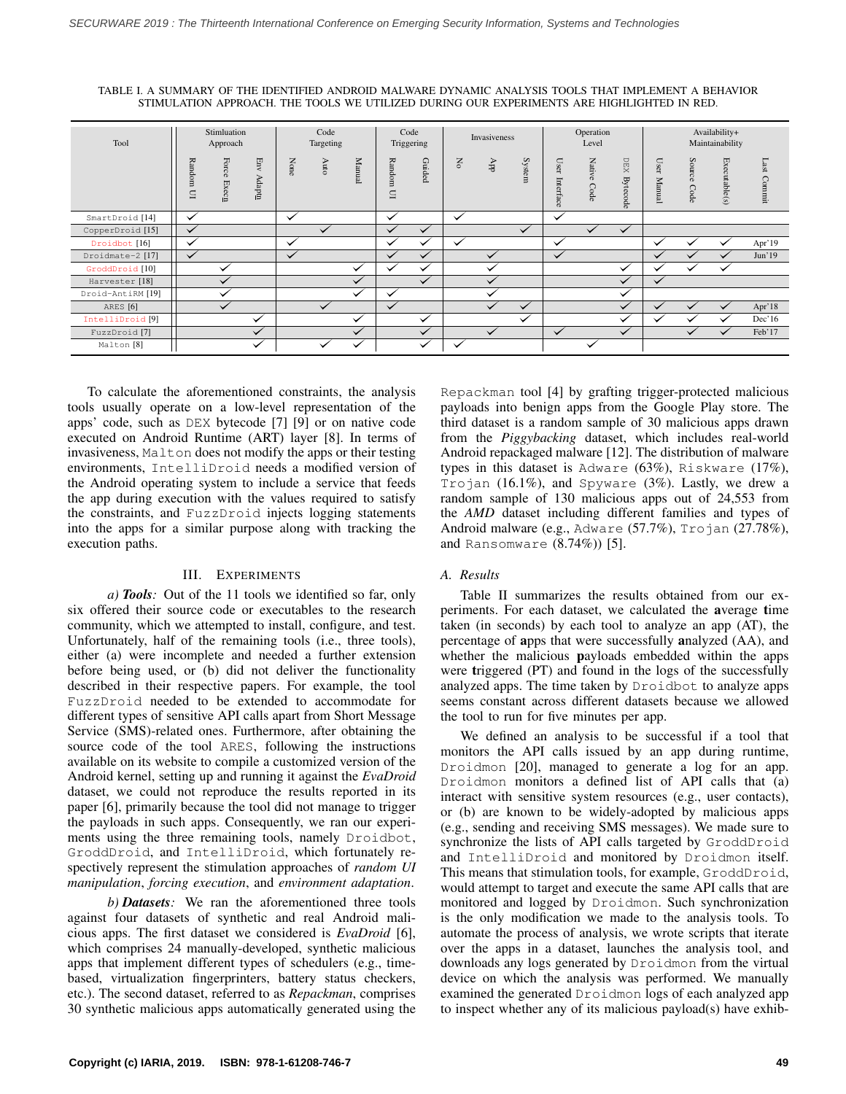<span id="page-2-1"></span>TABLE I. A SUMMARY OF THE IDENTIFIED ANDROID MALWARE DYNAMIC ANALYSIS TOOLS THAT IMPLEMENT A BEHAVIOR STIMULATION APPROACH. THE TOOLS WE UTILIZED DURING OUR EXPERIMENTS ARE HIGHLIGHTED IN RED.

| Tool                        | Stimluation<br>Approach |                                      |                                 | Code<br>Targeting |              |              | Code<br>Triggering |                  | Invasiveness |              |              | Operation<br>Level    |                       |                        | Availability+<br>Maintainability          |                |               |                |
|-----------------------------|-------------------------|--------------------------------------|---------------------------------|-------------------|--------------|--------------|--------------------|------------------|--------------|--------------|--------------|-----------------------|-----------------------|------------------------|-------------------------------------------|----------------|---------------|----------------|
|                             | Random<br>$\subseteq$   | Force<br>$\ensuremath{\text{Execn}}$ | $_{\rm{Env}}$<br>Adapt <u>n</u> | None              | Auto         | Manual       | Random<br>$\Xi$    | $\Omega$<br>ided | Χo           | ddy          | System       | Use<br>⊶<br>Interface | <b>Native</b><br>Code | DEX<br><b>Bytecode</b> | User<br>$\overline{\mathsf{x}}$<br>[anua] | Source<br>Code | Executable(s) | Last<br>Commit |
| SmartDroid [14]             | $\checkmark$            |                                      |                                 | $\checkmark$      |              |              | $\checkmark$       |                  | $\checkmark$ |              |              | $\checkmark$          |                       |                        |                                           |                |               |                |
| CopperDroid [15]            | $\checkmark$            |                                      |                                 |                   | $\checkmark$ |              | $\checkmark$       | $\checkmark$     |              |              | $\checkmark$ |                       | $\checkmark$          | $\checkmark$           |                                           |                |               |                |
| Droidbot [16]               | ✓                       |                                      |                                 | $\checkmark$      |              |              | ◡                  | ╰                | $\checkmark$ |              |              | $\checkmark$          |                       |                        | $\checkmark$                              |                |               | Apr'19         |
| Droidmate-2 [17]            | $\checkmark$            |                                      |                                 | $\checkmark$      |              |              | $\checkmark$       | $\checkmark$     |              |              |              | $\checkmark$          |                       |                        | ✓                                         |                | $\checkmark$  | Jun'19         |
| GroddDroid [10]             |                         | $\checkmark$                         |                                 |                   |              | $\checkmark$ | $\checkmark$       | $\checkmark$     |              |              |              |                       |                       | $\checkmark$           | $\checkmark$                              |                |               |                |
| Harvester [18]              |                         | ✓                                    |                                 |                   |              | $\checkmark$ |                    | $\checkmark$     |              | $\checkmark$ |              |                       |                       | $\checkmark$           | ✓                                         |                |               |                |
| Droid-AntiRM [19]           |                         | $\checkmark$                         |                                 |                   |              | $\checkmark$ | $\checkmark$       |                  |              |              |              |                       |                       | $\checkmark$           |                                           |                |               |                |
| ARES [6]                    |                         | $\checkmark$                         |                                 |                   |              |              | $\checkmark$       |                  |              |              |              |                       |                       | $\checkmark$           |                                           |                |               | Apr'18         |
| IntelliDroid <sup>[9]</sup> |                         |                                      |                                 |                   |              | $\checkmark$ |                    | $\checkmark$     |              |              |              |                       |                       | $\checkmark$           |                                           |                |               | Dec'16         |
| FuzzDroid <sup>[7]</sup>    |                         |                                      | $\checkmark$                    |                   |              | $\checkmark$ |                    | $\checkmark$     |              | $\checkmark$ |              | $\checkmark$          |                       | $\checkmark$           |                                           | $\checkmark$   | ✓             | Feb'17         |
| Malton <sup>[8]</sup>       |                         |                                      | $\checkmark$                    |                   | $\checkmark$ | ✓            |                    | $\checkmark$     | $\checkmark$ |              |              |                       | $\checkmark$          |                        |                                           |                |               |                |

To calculate the aforementioned constraints, the analysis tools usually operate on a low-level representation of the apps' code, such as DEX bytecode [\[7\]](#page-5-8) [\[9\]](#page-5-9) or on native code executed on Android Runtime (ART) layer [\[8\]](#page-5-18). In terms of invasiveness, Malton does not modify the apps or their testing environments, IntelliDroid needs a modified version of the Android operating system to include a service that feeds the app during execution with the values required to satisfy the constraints, and FuzzDroid injects logging statements into the apps for a similar purpose along with tracking the execution paths.

### III. EXPERIMENTS

<span id="page-2-0"></span>*a) Tools:* Out of the 11 tools we identified so far, only six offered their source code or executables to the research community, which we attempted to install, configure, and test. Unfortunately, half of the remaining tools (i.e., three tools), either (a) were incomplete and needed a further extension before being used, or (b) did not deliver the functionality described in their respective papers. For example, the tool FuzzDroid needed to be extended to accommodate for different types of sensitive API calls apart from Short Message Service (SMS)-related ones. Furthermore, after obtaining the source code of the tool ARES, following the instructions available on its website to compile a customized version of the Android kernel, setting up and running it against the *EvaDroid* dataset, we could not reproduce the results reported in its paper [\[6\]](#page-5-5), primarily because the tool did not manage to trigger the payloads in such apps. Consequently, we ran our experiments using the three remaining tools, namely Droidbot, GroddDroid, and IntelliDroid, which fortunately respectively represent the stimulation approaches of *random UI manipulation*, *forcing execution*, and *environment adaptation*.

*b) Datasets:* We ran the aforementioned three tools against four datasets of synthetic and real Android malicious apps. The first dataset we considered is *EvaDroid* [\[6\]](#page-5-5), which comprises 24 manually-developed, synthetic malicious apps that implement different types of schedulers (e.g., timebased, virtualization fingerprinters, battery status checkers, etc.). The second dataset, referred to as *Repackman*, comprises 30 synthetic malicious apps automatically generated using the Repackman tool [\[4\]](#page-5-3) by grafting trigger-protected malicious payloads into benign apps from the Google Play store. The third dataset is a random sample of 30 malicious apps drawn from the *Piggybacking* dataset, which includes real-world Android repackaged malware [\[12\]](#page-5-10). The distribution of malware types in this dataset is Adware (63%), Riskware (17%), Trojan (16.1%), and Spyware (3%). Lastly, we drew a random sample of 130 malicious apps out of 24,553 from the *AMD* dataset including different families and types of Android malware (e.g., Adware (57.7%), Trojan (27.78%), and Ransomware (8.74%)) [\[5\]](#page-5-4).

#### *A. Results*

Table [II](#page-3-1) summarizes the results obtained from our experiments. For each dataset, we calculated the average time taken (in seconds) by each tool to analyze an app (AT), the percentage of apps that were successfully analyzed (AA), and whether the malicious payloads embedded within the apps were triggered (PT) and found in the logs of the successfully analyzed apps. The time taken by Droidbot to analyze apps seems constant across different datasets because we allowed the tool to run for five minutes per app.

We defined an analysis to be successful if a tool that monitors the API calls issued by an app during runtime, Droidmon [\[20\]](#page-5-19), managed to generate a log for an app. Droidmon monitors a defined list of API calls that (a) interact with sensitive system resources (e.g., user contacts), or (b) are known to be widely-adopted by malicious apps (e.g., sending and receiving SMS messages). We made sure to synchronize the lists of API calls targeted by GroddDroid and IntelliDroid and monitored by Droidmon itself. This means that stimulation tools, for example, GroddDroid, would attempt to target and execute the same API calls that are monitored and logged by Droidmon. Such synchronization is the only modification we made to the analysis tools. To automate the process of analysis, we wrote scripts that iterate over the apps in a dataset, launches the analysis tool, and downloads any logs generated by Droidmon from the virtual device on which the analysis was performed. We manually examined the generated Droidmon logs of each analyzed app to inspect whether any of its malicious payload(s) have exhib-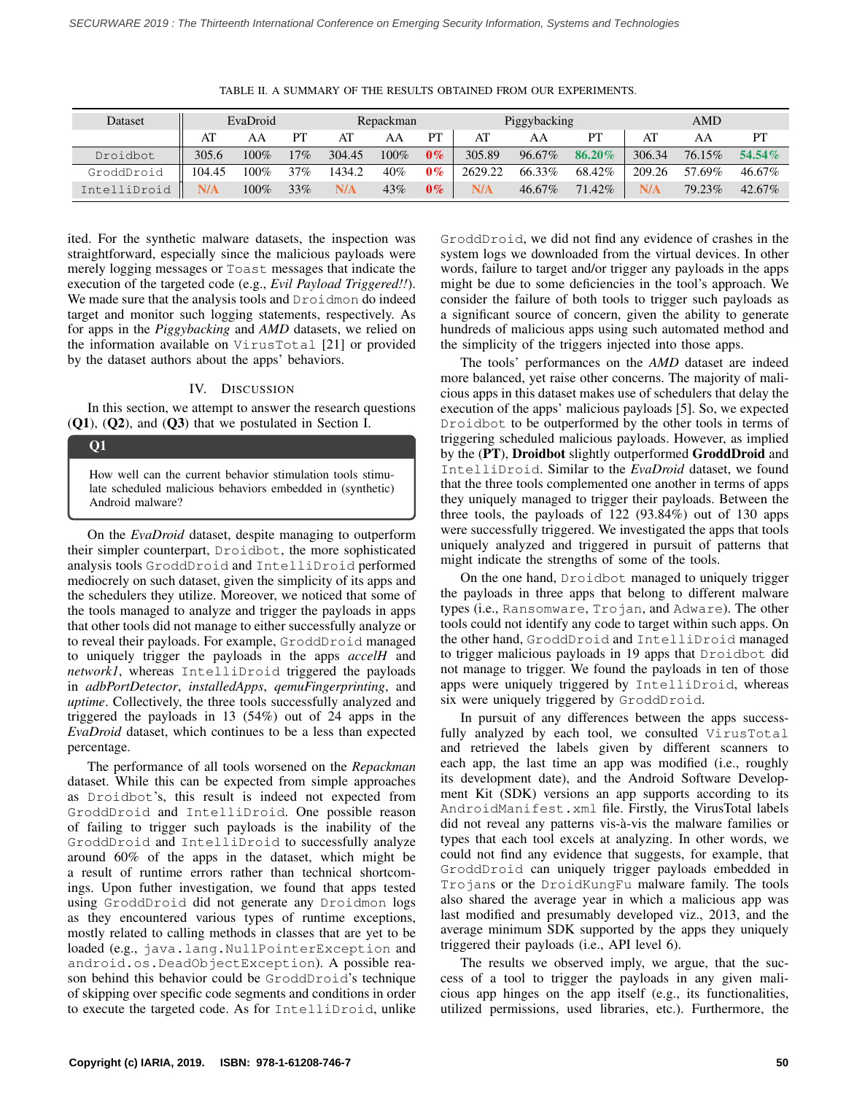<span id="page-3-1"></span>

| Dataset      |        | EvaDroid |     |        | Repackman |       |         | Piggybacking |        | AMD    |        |        |  |
|--------------|--------|----------|-----|--------|-----------|-------|---------|--------------|--------|--------|--------|--------|--|
|              | AT     | AA       | PT  | AT     | AA        | PТ    | AT      | AA           | PТ     | AT     | AA     | PT     |  |
| Droidbot     | 305.6  | $100\%$  | 17% | 304.45 | $100\%$   | $0\%$ | 305.89  | 96.67%       | 86.20% | 306.34 | 76.15% | 54.54% |  |
| GroddDroid   | 104.45 | 100%     | 37% | 1434.2 | 40%       | $0\%$ | 2629.22 | 66.33%       | 68.42% | 209.26 | 57.69% | 46.67% |  |
| IntelliDroid | N/A    | 100%     | 33% | N/A    | 43%       | $0\%$ | N/A     | 46.67%       | 71.42% | N/A    | 79.23% | 42.67% |  |

TABLE II. A SUMMARY OF THE RESULTS OBTAINED FROM OUR EXPERIMENTS.

ited. For the synthetic malware datasets, the inspection was straightforward, especially since the malicious payloads were merely logging messages or Toast messages that indicate the execution of the targeted code (e.g., *Evil Payload Triggered!!*). We made sure that the analysis tools and Droidmon do indeed target and monitor such logging statements, respectively. As for apps in the *Piggybacking* and *AMD* datasets, we relied on the information available on VirusTotal [\[21\]](#page-5-20) or provided by the dataset authors about the apps' behaviors.

#### IV. DISCUSSION

<span id="page-3-0"></span>In this section, we attempt to answer the research questions (Q1), (Q2), and (Q3) that we postulated in Section [I.](#page-0-0)

### Q1

How well can the current behavior stimulation tools stimulate scheduled malicious behaviors embedded in (synthetic) Android malware?

On the *EvaDroid* dataset, despite managing to outperform their simpler counterpart, Droidbot, the more sophisticated analysis tools GroddDroid and IntelliDroid performed mediocrely on such dataset, given the simplicity of its apps and the schedulers they utilize. Moreover, we noticed that some of the tools managed to analyze and trigger the payloads in apps that other tools did not manage to either successfully analyze or to reveal their payloads. For example, GroddDroid managed to uniquely trigger the payloads in the apps *accelH* and *network1*, whereas IntelliDroid triggered the payloads in *adbPortDetector*, *installedApps*, *qemuFingerprinting*, and *uptime*. Collectively, the three tools successfully analyzed and triggered the payloads in 13 (54%) out of 24 apps in the *EvaDroid* dataset, which continues to be a less than expected percentage.

The performance of all tools worsened on the *Repackman* dataset. While this can be expected from simple approaches as Droidbot's, this result is indeed not expected from GroddDroid and IntelliDroid. One possible reason of failing to trigger such payloads is the inability of the GroddDroid and IntelliDroid to successfully analyze around 60% of the apps in the dataset, which might be a result of runtime errors rather than technical shortcomings. Upon futher investigation, we found that apps tested using GroddDroid did not generate any Droidmon logs as they encountered various types of runtime exceptions, mostly related to calling methods in classes that are yet to be loaded (e.g., java.lang.NullPointerException and android.os.DeadObjectException). A possible reason behind this behavior could be GroddDroid's technique of skipping over specific code segments and conditions in order to execute the targeted code. As for IntelliDroid, unlike GroddDroid, we did not find any evidence of crashes in the system logs we downloaded from the virtual devices. In other words, failure to target and/or trigger any payloads in the apps might be due to some deficiencies in the tool's approach. We consider the failure of both tools to trigger such payloads as a significant source of concern, given the ability to generate hundreds of malicious apps using such automated method and the simplicity of the triggers injected into those apps.

The tools' performances on the *AMD* dataset are indeed more balanced, yet raise other concerns. The majority of malicious apps in this dataset makes use of schedulers that delay the execution of the apps' malicious payloads [\[5\]](#page-5-4). So, we expected Droidbot to be outperformed by the other tools in terms of triggering scheduled malicious payloads. However, as implied by the (PT), Droidbot slightly outperformed GroddDroid and IntelliDroid. Similar to the *EvaDroid* dataset, we found that the three tools complemented one another in terms of apps they uniquely managed to trigger their payloads. Between the three tools, the payloads of 122 (93.84%) out of 130 apps were successfully triggered. We investigated the apps that tools uniquely analyzed and triggered in pursuit of patterns that might indicate the strengths of some of the tools.

On the one hand, Droidbot managed to uniquely trigger the payloads in three apps that belong to different malware types (i.e., Ransomware, Trojan, and Adware). The other tools could not identify any code to target within such apps. On the other hand, GroddDroid and IntelliDroid managed to trigger malicious payloads in 19 apps that Droidbot did not manage to trigger. We found the payloads in ten of those apps were uniquely triggered by IntelliDroid, whereas six were uniquely triggered by GroddDroid.

In pursuit of any differences between the apps successfully analyzed by each tool, we consulted VirusTotal and retrieved the labels given by different scanners to each app, the last time an app was modified (i.e., roughly its development date), and the Android Software Development Kit (SDK) versions an app supports according to its AndroidManifest.xml file. Firstly, the VirusTotal labels did not reveal any patterns vis-à-vis the malware families or types that each tool excels at analyzing. In other words, we could not find any evidence that suggests, for example, that GroddDroid can uniquely trigger payloads embedded in Trojans or the DroidKungFu malware family. The tools also shared the average year in which a malicious app was last modified and presumably developed viz., 2013, and the average minimum SDK supported by the apps they uniquely triggered their payloads (i.e., API level 6).

The results we observed imply, we argue, that the success of a tool to trigger the payloads in any given malicious app hinges on the app itself (e.g., its functionalities, utilized permissions, used libraries, etc.). Furthermore, the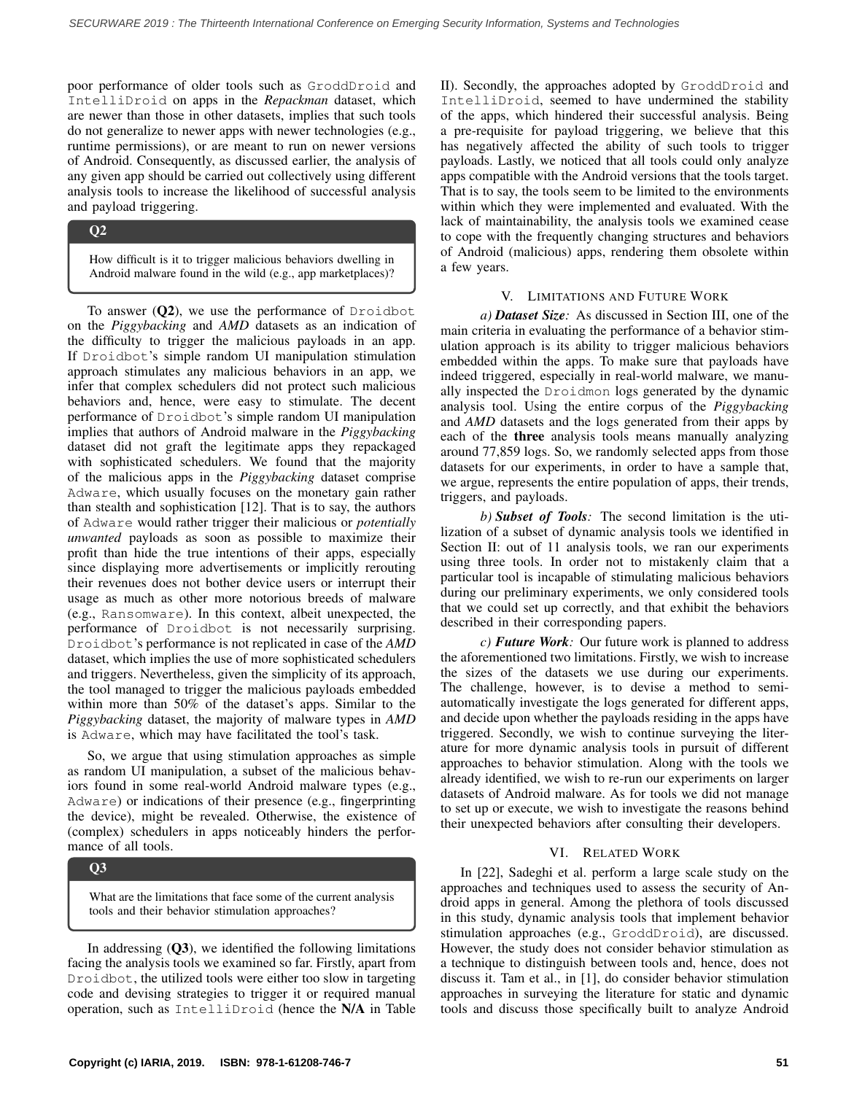poor performance of older tools such as GroddDroid and IntelliDroid on apps in the *Repackman* dataset, which are newer than those in other datasets, implies that such tools do not generalize to newer apps with newer technologies (e.g., runtime permissions), or are meant to run on newer versions of Android. Consequently, as discussed earlier, the analysis of any given app should be carried out collectively using different analysis tools to increase the likelihood of successful analysis and payload triggering.

# Q2

How difficult is it to trigger malicious behaviors dwelling in Android malware found in the wild (e.g., app marketplaces)?

To answer  $(Q2)$ , we use the performance of Droidbot on the *Piggybacking* and *AMD* datasets as an indication of the difficulty to trigger the malicious payloads in an app. If Droidbot's simple random UI manipulation stimulation approach stimulates any malicious behaviors in an app, we infer that complex schedulers did not protect such malicious behaviors and, hence, were easy to stimulate. The decent performance of Droidbot's simple random UI manipulation implies that authors of Android malware in the *Piggybacking* dataset did not graft the legitimate apps they repackaged with sophisticated schedulers. We found that the majority of the malicious apps in the *Piggybacking* dataset comprise Adware, which usually focuses on the monetary gain rather than stealth and sophistication [\[12\]](#page-5-10). That is to say, the authors of Adware would rather trigger their malicious or *potentially unwanted* payloads as soon as possible to maximize their profit than hide the true intentions of their apps, especially since displaying more advertisements or implicitly rerouting their revenues does not bother device users or interrupt their usage as much as other more notorious breeds of malware (e.g., Ransomware). In this context, albeit unexpected, the performance of Droidbot is not necessarily surprising. Droidbot's performance is not replicated in case of the *AMD* dataset, which implies the use of more sophisticated schedulers and triggers. Nevertheless, given the simplicity of its approach, the tool managed to trigger the malicious payloads embedded within more than 50% of the dataset's apps. Similar to the *Piggybacking* dataset, the majority of malware types in *AMD* is Adware, which may have facilitated the tool's task.

So, we argue that using stimulation approaches as simple as random UI manipulation, a subset of the malicious behaviors found in some real-world Android malware types (e.g., Adware) or indications of their presence (e.g., fingerprinting the device), might be revealed. Otherwise, the existence of (complex) schedulers in apps noticeably hinders the performance of all tools.

## Q3

What are the limitations that face some of the current analysis tools and their behavior stimulation approaches?

In addressing  $(Q3)$ , we identified the following limitations facing the analysis tools we examined so far. Firstly, apart from Droidbot, the utilized tools were either too slow in targeting code and devising strategies to trigger it or required manual operation, such as IntelliDroid (hence the N/A in Table [II\)](#page-3-1). Secondly, the approaches adopted by GroddDroid and IntelliDroid, seemed to have undermined the stability of the apps, which hindered their successful analysis. Being a pre-requisite for payload triggering, we believe that this has negatively affected the ability of such tools to trigger payloads. Lastly, we noticed that all tools could only analyze apps compatible with the Android versions that the tools target. That is to say, the tools seem to be limited to the environments within which they were implemented and evaluated. With the lack of maintainability, the analysis tools we examined cease to cope with the frequently changing structures and behaviors of Android (malicious) apps, rendering them obsolete within a few years.

# V. LIMITATIONS AND FUTURE WORK

*a) Dataset Size:* As discussed in Section [III,](#page-2-0) one of the main criteria in evaluating the performance of a behavior stimulation approach is its ability to trigger malicious behaviors embedded within the apps. To make sure that payloads have indeed triggered, especially in real-world malware, we manually inspected the Droidmon logs generated by the dynamic analysis tool. Using the entire corpus of the *Piggybacking* and *AMD* datasets and the logs generated from their apps by each of the three analysis tools means manually analyzing around 77,859 logs. So, we randomly selected apps from those datasets for our experiments, in order to have a sample that, we argue, represents the entire population of apps, their trends, triggers, and payloads.

*b) Subset of Tools:* The second limitation is the utilization of a subset of dynamic analysis tools we identified in Section [II:](#page-1-0) out of 11 analysis tools, we ran our experiments using three tools. In order not to mistakenly claim that a particular tool is incapable of stimulating malicious behaviors during our preliminary experiments, we only considered tools that we could set up correctly, and that exhibit the behaviors described in their corresponding papers.

*c) Future Work:* Our future work is planned to address the aforementioned two limitations. Firstly, we wish to increase the sizes of the datasets we use during our experiments. The challenge, however, is to devise a method to semiautomatically investigate the logs generated for different apps, and decide upon whether the payloads residing in the apps have triggered. Secondly, we wish to continue surveying the literature for more dynamic analysis tools in pursuit of different approaches to behavior stimulation. Along with the tools we already identified, we wish to re-run our experiments on larger datasets of Android malware. As for tools we did not manage to set up or execute, we wish to investigate the reasons behind their unexpected behaviors after consulting their developers.

### VI. RELATED WORK

In [\[22\]](#page-5-21), Sadeghi et al. perform a large scale study on the approaches and techniques used to assess the security of Android apps in general. Among the plethora of tools discussed in this study, dynamic analysis tools that implement behavior stimulation approaches (e.g., GroddDroid), are discussed. However, the study does not consider behavior stimulation as a technique to distinguish between tools and, hence, does not discuss it. Tam et al., in [\[1\]](#page-5-0), do consider behavior stimulation approaches in surveying the literature for static and dynamic tools and discuss those specifically built to analyze Android